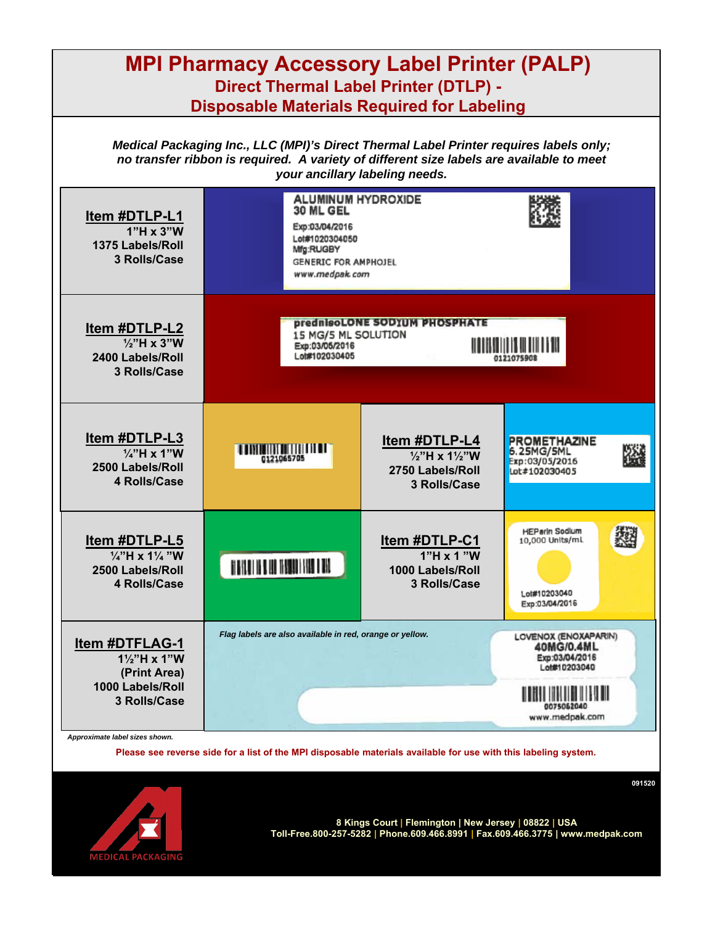| <b>MPI Pharmacy Accessory Label Printer (PALP)</b><br><b>Direct Thermal Label Printer (DTLP) -</b><br><b>Disposable Materials Required for Labeling</b>                                                              |                                                                                                                                          |                                                                                            |                                                                                                          |  |
|----------------------------------------------------------------------------------------------------------------------------------------------------------------------------------------------------------------------|------------------------------------------------------------------------------------------------------------------------------------------|--------------------------------------------------------------------------------------------|----------------------------------------------------------------------------------------------------------|--|
| Medical Packaging Inc., LLC (MPI)'s Direct Thermal Label Printer requires labels only;<br>no transfer ribbon is required. A variety of different size labels are available to meet<br>your ancillary labeling needs. |                                                                                                                                          |                                                                                            |                                                                                                          |  |
| Item #DTLP-L1<br>$1"H \times 3"W$<br>1375 Labels/Roll<br>3 Rolls/Case                                                                                                                                                | <b>ALUMINUM HYDROXIDE</b><br>30 ML GEL<br>Exp:03/04/2016<br>Lot#1020304050<br>Mfg:RUGBY<br><b>GENERIC FOR AMPHOJEL</b><br>www.medpak.com |                                                                                            |                                                                                                          |  |
| Item #DTLP-L2<br>$\frac{1}{2}$ "H x 3"W<br>2400 Labels/Roll<br>3 Rolls/Case                                                                                                                                          | <b>prednisoLONE SODIUM PHOSPHATE</b><br>15 MG/5 ML SOLUTION<br>Exp:03/05/2016<br>Lot#102030405                                           |                                                                                            |                                                                                                          |  |
| Item #DTLP-L3<br>$\frac{1}{4}$ "H x 1"W<br>2500 Labels/Roll<br>4 Rolls/Case                                                                                                                                          | <b>THE REAL PROPERTY OF PERSONS A</b><br>0121065705                                                                                      | Item #DTLP-L4<br>$\frac{1}{2}$ "H x 1 $\frac{1}{2}$ "W<br>2750 Labels/Roll<br>3 Rolls/Case | <b>PROMETHAZINE</b><br>6.25MG/5ML<br>Exp:03/05/2016<br>Lot#102030405                                     |  |
| Item #DTLP-L5<br>1/4"H x 11/4 "W<br>2500 Labels/Roll<br>4 Rolls/Case                                                                                                                                                 | IT IS NOT THE REAL TRANSPORTER IN THE                                                                                                    | Item #DTLP-C1<br>$1"H \times 1"W$<br>1000 Labels/Roll<br>3 Rolls/Case                      | <b>HEParin Sodium</b><br>10,000 Units/ml.<br>Lot#10203040<br>Exp:03/04/2016                              |  |
| <b>Item #DTFLAG-1</b><br>11/2"H x 1"W<br>(Print Area)<br>1000 Labels/Roll<br>3 Rolls/Case                                                                                                                            | Flag labels are also available in red, orange or yellow.                                                                                 |                                                                                            | LOVENOX (ENOXAPARIN)<br>40MG/0.4ML<br>Exp:03/04/2016<br>Lot#10203040<br>II II II II II<br>www.medpak.com |  |
| Approximate label sizes shown.<br>Please see reverse side for a list of the MPI disposable materials available for use with this labeling system.<br>091520                                                          |                                                                                                                                          |                                                                                            |                                                                                                          |  |



**8 Kings Court | Flemington | New Jersey | 08822 | USA Toll-Free.800-257-5282 | Phone.609.466.8991 | Fax.609.466.3775 | www.medpak.com**